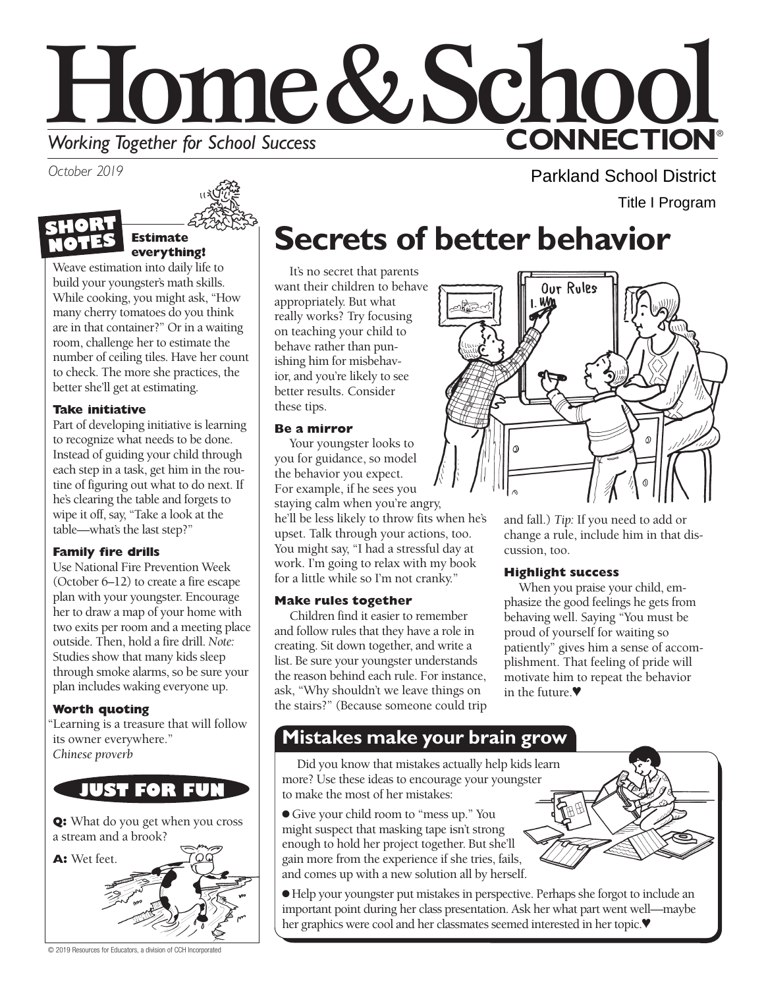

*October 2019* 





Weave estimation into daily life to build your youngster's math skills. While cooking, you might ask, "How many cherry tomatoes do you think are in that container?" Or in a waiting room, challenge her to estimate the number of ceiling tiles. Have her count to check. The more she practices, the better she'll get at estimating.

### **Take initiative**

 table—what's the last step?" Part of developing initiative is learning to recognize what needs to be done. Instead of guiding your child through each step in a task, get him in the routine of figuring out what to do next. If he's clearing the table and forgets to wipe it off, say, "Take a look at the

### **Family fire drills**

Use National Fire Prevention Week (October 6–12) to create a fire escape plan with your youngster. Encourage her to draw a map of your home with two exits per room and a meeting place outside. Then, hold a fire drill. *Note:*  Studies show that many kids sleep through smoke alarms, so be sure your plan includes waking everyone up.

### **Worth quoting**

"Learning is a treasure that will follow its owner everywhere." *Chinese proverb* 

### **JUST FOR FUN**

**Q:** What do you get when you cross a stream and a brook?



## **Secrets of better behavior**

It's no secret that parents want their children to behave appropriately. But what really works? Try focusing on teaching your child to behave rather than punishing him for misbehavior, and you're likely to see better results. Consider these tips.

### **Be a mirror**

Your youngster looks to you for guidance, so model the behavior you expect. For example, if he sees you staying calm when you're angry, he'll be less likely to throw fits when he's upset. Talk through your actions, too. You might say, "I had a stressful day at work. I'm going to relax with my book for a little while so I'm not cranky."

### **Make rules together**

Children find it easier to remember and follow rules that they have a role in creating. Sit down together, and write a list. Be sure your youngster understands the reason behind each rule. For instance, ask, "Why shouldn't we leave things on the stairs?" (Because someone could trip



Parkland School District

Title I Program

and fall.) *Tip:* If you need to add or change a rule, include him in that discussion, too.

### **Highlight success**

When you praise your child, emphasize the good feelings he gets from behaving well. Saying "You must be proud of yourself for waiting so patiently" gives him a sense of accomplishment. That feeling of pride will motivate him to repeat the behavior in the future.♥

### **Mistakes make your brain grow**

Did you know that mistakes actually help kids learn more? Use these ideas to encourage your youngster to make the most of her mistakes:

● Give your child room to "mess up." You might suspect that masking tape isn't strong enough to hold her project together. But she'll gain more from the experience if she tries, fails, and comes up with a new solution all by herself.

● Help your youngster put mistakes in perspective. Perhaps she forgot to include an important point during her class presentation. Ask her what part went well—maybe her graphics were cool and her classmates seemed interested in her topic.♥

© 2019 Resources for Educators, a division of CCH Incorporated